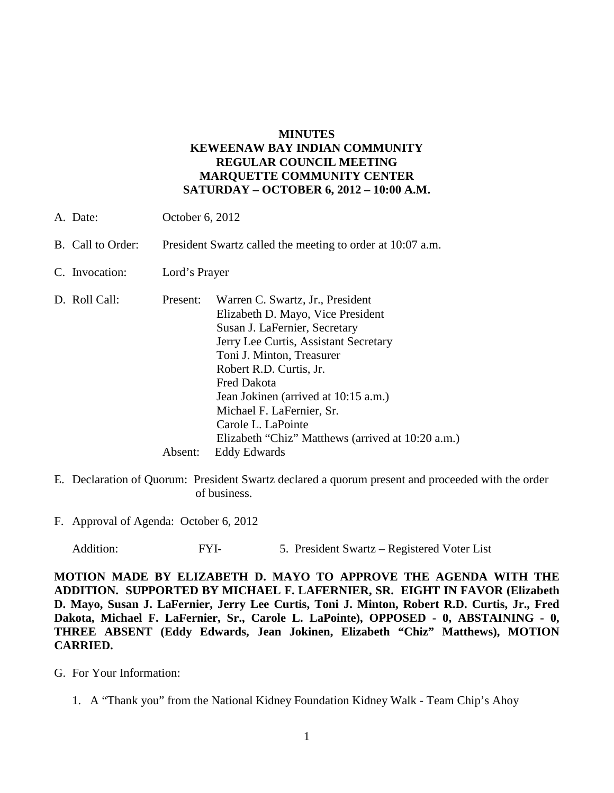# **MINUTES KEWEENAW BAY INDIAN COMMUNITY REGULAR COUNCIL MEETING MARQUETTE COMMUNITY CENTER SATURDAY – OCTOBER 6, 2012 – 10:00 A.M.**

- A. Date: October 6, 2012
- B. Call to Order: President Swartz called the meeting to order at 10:07 a.m.
- C. Invocation: Lord's Prayer
- D. Roll Call: Present: Warren C. Swartz, Jr., President Elizabeth D. Mayo, Vice President Susan J. LaFernier, Secretary Jerry Lee Curtis, Assistant Secretary Toni J. Minton, Treasurer Robert R.D. Curtis, Jr. Fred Dakota Jean Jokinen (arrived at 10:15 a.m.) Michael F. LaFernier, Sr. Carole L. LaPointe Elizabeth "Chiz" Matthews (arrived at 10:20 a.m.) Absent: Eddy Edwards
- E. Declaration of Quorum: President Swartz declared a quorum present and proceeded with the order of business.
- F. Approval of Agenda: October 6, 2012

Addition: FYI- 5. President Swartz – Registered Voter List

**MOTION MADE BY ELIZABETH D. MAYO TO APPROVE THE AGENDA WITH THE ADDITION. SUPPORTED BY MICHAEL F. LAFERNIER, SR. EIGHT IN FAVOR (Elizabeth D. Mayo, Susan J. LaFernier, Jerry Lee Curtis, Toni J. Minton, Robert R.D. Curtis, Jr., Fred Dakota, Michael F. LaFernier, Sr., Carole L. LaPointe), OPPOSED - 0, ABSTAINING - 0, THREE ABSENT (Eddy Edwards, Jean Jokinen, Elizabeth "Chiz" Matthews), MOTION CARRIED.**

- G. For Your Information:
	- 1. A "Thank you" from the National Kidney Foundation Kidney Walk Team Chip's Ahoy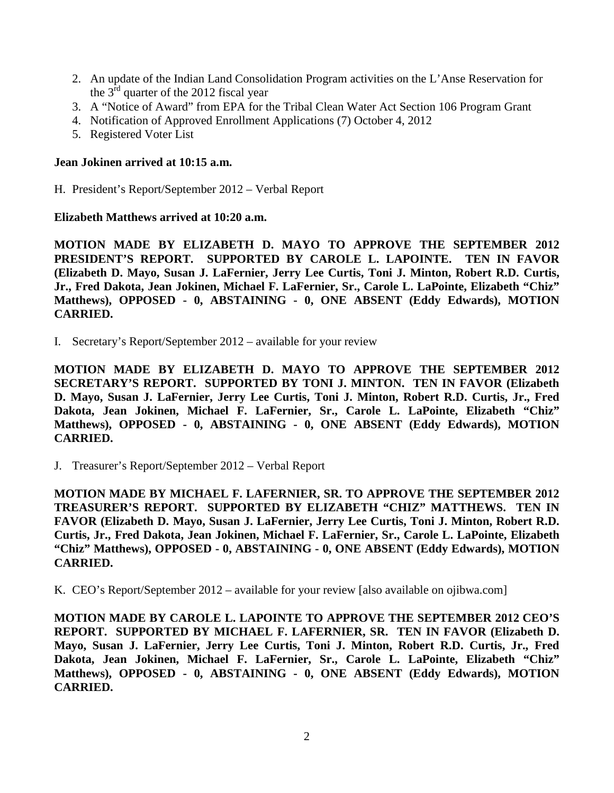- 2. An update of the Indian Land Consolidation Program activities on the L'Anse Reservation for the  $3<sup>rd</sup>$  quarter of the 2012 fiscal year
- 3. A "Notice of Award" from EPA for the Tribal Clean Water Act Section 106 Program Grant
- 4. Notification of Approved Enrollment Applications (7) October 4, 2012
- 5. Registered Voter List

## **Jean Jokinen arrived at 10:15 a.m.**

H. President's Report/September 2012 – Verbal Report

## **Elizabeth Matthews arrived at 10:20 a.m.**

**MOTION MADE BY ELIZABETH D. MAYO TO APPROVE THE SEPTEMBER 2012 PRESIDENT'S REPORT. SUPPORTED BY CAROLE L. LAPOINTE. TEN IN FAVOR (Elizabeth D. Mayo, Susan J. LaFernier, Jerry Lee Curtis, Toni J. Minton, Robert R.D. Curtis, Jr., Fred Dakota, Jean Jokinen, Michael F. LaFernier, Sr., Carole L. LaPointe, Elizabeth "Chiz" Matthews), OPPOSED - 0, ABSTAINING - 0, ONE ABSENT (Eddy Edwards), MOTION CARRIED.**

I. Secretary's Report/September 2012 – available for your review

**MOTION MADE BY ELIZABETH D. MAYO TO APPROVE THE SEPTEMBER 2012 SECRETARY'S REPORT. SUPPORTED BY TONI J. MINTON. TEN IN FAVOR (Elizabeth D. Mayo, Susan J. LaFernier, Jerry Lee Curtis, Toni J. Minton, Robert R.D. Curtis, Jr., Fred Dakota, Jean Jokinen, Michael F. LaFernier, Sr., Carole L. LaPointe, Elizabeth "Chiz" Matthews), OPPOSED - 0, ABSTAINING - 0, ONE ABSENT (Eddy Edwards), MOTION CARRIED.**

J. Treasurer's Report/September 2012 – Verbal Report

**MOTION MADE BY MICHAEL F. LAFERNIER, SR. TO APPROVE THE SEPTEMBER 2012 TREASURER'S REPORT. SUPPORTED BY ELIZABETH "CHIZ" MATTHEWS. TEN IN FAVOR (Elizabeth D. Mayo, Susan J. LaFernier, Jerry Lee Curtis, Toni J. Minton, Robert R.D. Curtis, Jr., Fred Dakota, Jean Jokinen, Michael F. LaFernier, Sr., Carole L. LaPointe, Elizabeth "Chiz" Matthews), OPPOSED - 0, ABSTAINING - 0, ONE ABSENT (Eddy Edwards), MOTION CARRIED.**

K. CEO's Report/September 2012 – available for your review [also available on ojibwa.com]

**MOTION MADE BY CAROLE L. LAPOINTE TO APPROVE THE SEPTEMBER 2012 CEO'S REPORT. SUPPORTED BY MICHAEL F. LAFERNIER, SR. TEN IN FAVOR (Elizabeth D. Mayo, Susan J. LaFernier, Jerry Lee Curtis, Toni J. Minton, Robert R.D. Curtis, Jr., Fred Dakota, Jean Jokinen, Michael F. LaFernier, Sr., Carole L. LaPointe, Elizabeth "Chiz" Matthews), OPPOSED - 0, ABSTAINING - 0, ONE ABSENT (Eddy Edwards), MOTION CARRIED.**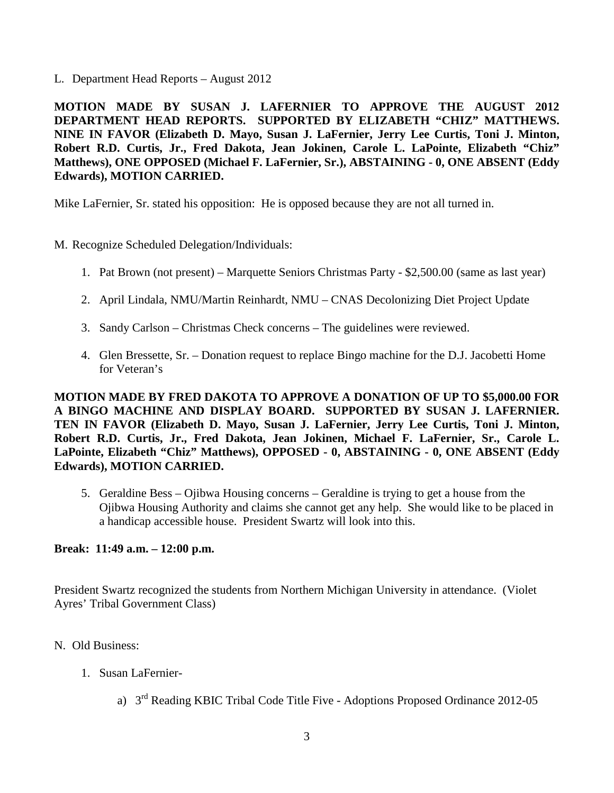L. Department Head Reports – August 2012

**MOTION MADE BY SUSAN J. LAFERNIER TO APPROVE THE AUGUST 2012 DEPARTMENT HEAD REPORTS. SUPPORTED BY ELIZABETH "CHIZ" MATTHEWS. NINE IN FAVOR (Elizabeth D. Mayo, Susan J. LaFernier, Jerry Lee Curtis, Toni J. Minton, Robert R.D. Curtis, Jr., Fred Dakota, Jean Jokinen, Carole L. LaPointe, Elizabeth "Chiz" Matthews), ONE OPPOSED (Michael F. LaFernier, Sr.), ABSTAINING - 0, ONE ABSENT (Eddy Edwards), MOTION CARRIED.**

Mike LaFernier, Sr. stated his opposition: He is opposed because they are not all turned in.

- M. Recognize Scheduled Delegation/Individuals:
	- 1. Pat Brown (not present) Marquette Seniors Christmas Party \$2,500.00 (same as last year)
	- 2. April Lindala, NMU/Martin Reinhardt, NMU CNAS Decolonizing Diet Project Update
	- 3. Sandy Carlson Christmas Check concerns The guidelines were reviewed.
	- 4. Glen Bressette, Sr. Donation request to replace Bingo machine for the D.J. Jacobetti Home for Veteran's

**MOTION MADE BY FRED DAKOTA TO APPROVE A DONATION OF UP TO \$5,000.00 FOR A BINGO MACHINE AND DISPLAY BOARD. SUPPORTED BY SUSAN J. LAFERNIER. TEN IN FAVOR (Elizabeth D. Mayo, Susan J. LaFernier, Jerry Lee Curtis, Toni J. Minton, Robert R.D. Curtis, Jr., Fred Dakota, Jean Jokinen, Michael F. LaFernier, Sr., Carole L. LaPointe, Elizabeth "Chiz" Matthews), OPPOSED - 0, ABSTAINING - 0, ONE ABSENT (Eddy Edwards), MOTION CARRIED.**

5. Geraldine Bess – Ojibwa Housing concerns – Geraldine is trying to get a house from the Ojibwa Housing Authority and claims she cannot get any help. She would like to be placed in a handicap accessible house. President Swartz will look into this.

### **Break: 11:49 a.m. – 12:00 p.m.**

President Swartz recognized the students from Northern Michigan University in attendance. (Violet Ayres' Tribal Government Class)

- N. Old Business:
	- 1. Susan LaFernier
		- a) 3rd Reading KBIC Tribal Code Title Five Adoptions Proposed Ordinance 2012-05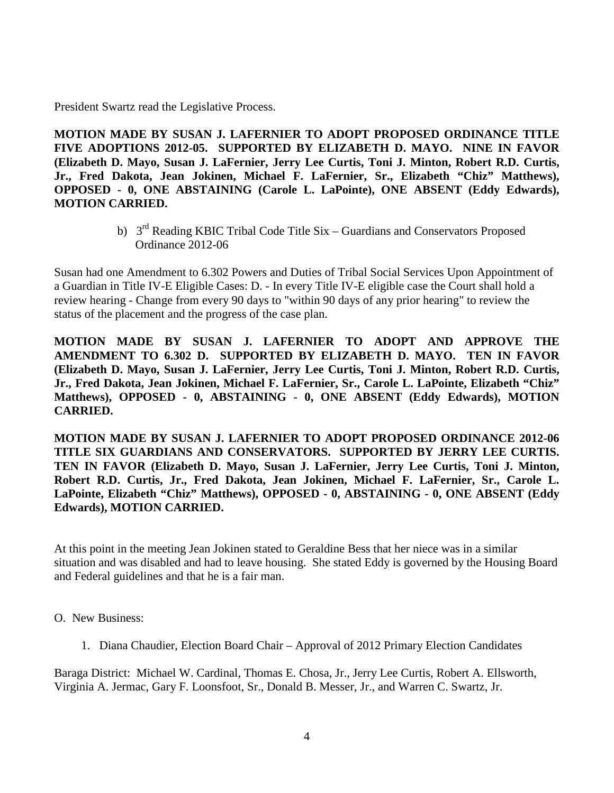President Swartz read the Legislative Process.

**MOTION MADE BY SUSAN J. LAFERNIER TO ADOPT PROPOSED ORDINANCE TITLE FIVE ADOPTIONS 2012-05. SUPPORTED BY ELIZABETH D. MAYO. NINE IN FAVOR (Elizabeth D. Mayo, Susan J. LaFernier, Jerry Lee Curtis, Toni J. Minton, Robert R.D. Curtis, Jr., Fred Dakota, Jean Jokinen, Michael F. LaFernier, Sr., Elizabeth "Chiz" Matthews), OPPOSED - 0, ONE ABSTAINING (Carole L. LaPointe), ONE ABSENT (Eddy Edwards), MOTION CARRIED.**

> b) 3<sup>rd</sup> Reading KBIC Tribal Code Title Six – Guardians and Conservators Proposed Ordinance 2012-06

Susan had one Amendment to 6.302 Powers and Duties of Tribal Social Services Upon Appointment of a Guardian in Title IV-E Eligible Cases: D. - In every Title IV-E eligible case the Court shall hold a review hearing - Change from every 90 days to "within 90 days of any prior hearing" to review the status of the placement and the progress of the case plan.

**MOTION MADE BY SUSAN J. LAFERNIER TO ADOPT AND APPROVE THE AMENDMENT TO 6.302 D. SUPPORTED BY ELIZABETH D. MAYO. TEN IN FAVOR (Elizabeth D. Mayo, Susan J. LaFernier, Jerry Lee Curtis, Toni J. Minton, Robert R.D. Curtis, Jr., Fred Dakota, Jean Jokinen, Michael F. LaFernier, Sr., Carole L. LaPointe, Elizabeth "Chiz" Matthews), OPPOSED - 0, ABSTAINING - 0, ONE ABSENT (Eddy Edwards), MOTION CARRIED.**

**MOTION MADE BY SUSAN J. LAFERNIER TO ADOPT PROPOSED ORDINANCE 2012-06 TITLE SIX GUARDIANS AND CONSERVATORS. SUPPORTED BY JERRY LEE CURTIS. TEN IN FAVOR (Elizabeth D. Mayo, Susan J. LaFernier, Jerry Lee Curtis, Toni J. Minton, Robert R.D. Curtis, Jr., Fred Dakota, Jean Jokinen, Michael F. LaFernier, Sr., Carole L. LaPointe, Elizabeth "Chiz" Matthews), OPPOSED - 0, ABSTAINING - 0, ONE ABSENT (Eddy Edwards), MOTION CARRIED.**

At this point in the meeting Jean Jokinen stated to Geraldine Bess that her niece was in a similar situation and was disabled and had to leave housing. She stated Eddy is governed by the Housing Board and Federal guidelines and that he is a fair man.

O. New Business:

1. Diana Chaudier, Election Board Chair – Approval of 2012 Primary Election Candidates

Baraga District: Michael W. Cardinal, Thomas E. Chosa, Jr., Jerry Lee Curtis, Robert A. Ellsworth, Virginia A. Jermac, Gary F. Loonsfoot, Sr., Donald B. Messer, Jr., and Warren C. Swartz, Jr.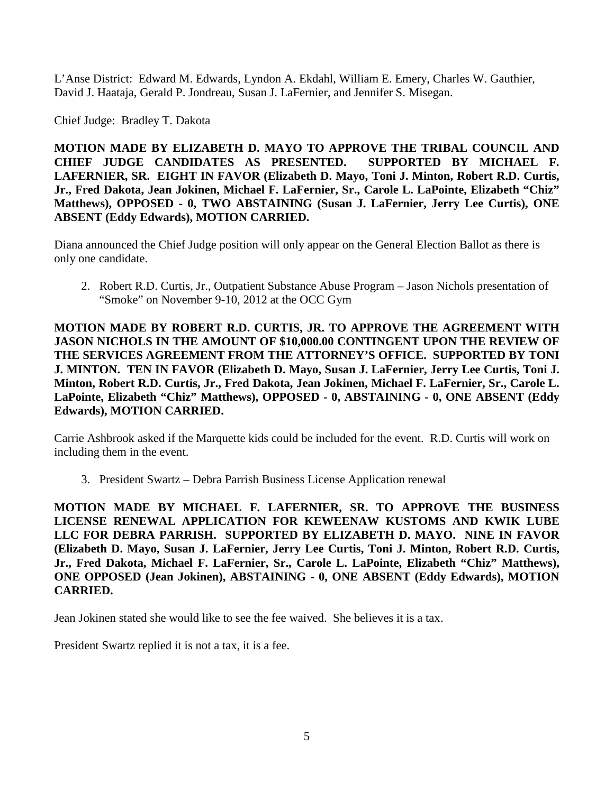L'Anse District: Edward M. Edwards, Lyndon A. Ekdahl, William E. Emery, Charles W. Gauthier, David J. Haataja, Gerald P. Jondreau, Susan J. LaFernier, and Jennifer S. Misegan.

Chief Judge: Bradley T. Dakota

**MOTION MADE BY ELIZABETH D. MAYO TO APPROVE THE TRIBAL COUNCIL AND CHIEF JUDGE CANDIDATES AS PRESENTED. SUPPORTED BY MICHAEL F. LAFERNIER, SR. EIGHT IN FAVOR (Elizabeth D. Mayo, Toni J. Minton, Robert R.D. Curtis, Jr., Fred Dakota, Jean Jokinen, Michael F. LaFernier, Sr., Carole L. LaPointe, Elizabeth "Chiz" Matthews), OPPOSED - 0, TWO ABSTAINING (Susan J. LaFernier, Jerry Lee Curtis), ONE ABSENT (Eddy Edwards), MOTION CARRIED.**

Diana announced the Chief Judge position will only appear on the General Election Ballot as there is only one candidate.

2. Robert R.D. Curtis, Jr., Outpatient Substance Abuse Program – Jason Nichols presentation of "Smoke" on November 9-10, 2012 at the OCC Gym

**MOTION MADE BY ROBERT R.D. CURTIS, JR. TO APPROVE THE AGREEMENT WITH JASON NICHOLS IN THE AMOUNT OF \$10,000.00 CONTINGENT UPON THE REVIEW OF THE SERVICES AGREEMENT FROM THE ATTORNEY'S OFFICE. SUPPORTED BY TONI J. MINTON. TEN IN FAVOR (Elizabeth D. Mayo, Susan J. LaFernier, Jerry Lee Curtis, Toni J. Minton, Robert R.D. Curtis, Jr., Fred Dakota, Jean Jokinen, Michael F. LaFernier, Sr., Carole L. LaPointe, Elizabeth "Chiz" Matthews), OPPOSED - 0, ABSTAINING - 0, ONE ABSENT (Eddy Edwards), MOTION CARRIED.**

Carrie Ashbrook asked if the Marquette kids could be included for the event. R.D. Curtis will work on including them in the event.

3. President Swartz – Debra Parrish Business License Application renewal

**MOTION MADE BY MICHAEL F. LAFERNIER, SR. TO APPROVE THE BUSINESS LICENSE RENEWAL APPLICATION FOR KEWEENAW KUSTOMS AND KWIK LUBE LLC FOR DEBRA PARRISH. SUPPORTED BY ELIZABETH D. MAYO. NINE IN FAVOR (Elizabeth D. Mayo, Susan J. LaFernier, Jerry Lee Curtis, Toni J. Minton, Robert R.D. Curtis, Jr., Fred Dakota, Michael F. LaFernier, Sr., Carole L. LaPointe, Elizabeth "Chiz" Matthews), ONE OPPOSED (Jean Jokinen), ABSTAINING - 0, ONE ABSENT (Eddy Edwards), MOTION CARRIED.**

Jean Jokinen stated she would like to see the fee waived. She believes it is a tax.

President Swartz replied it is not a tax, it is a fee.